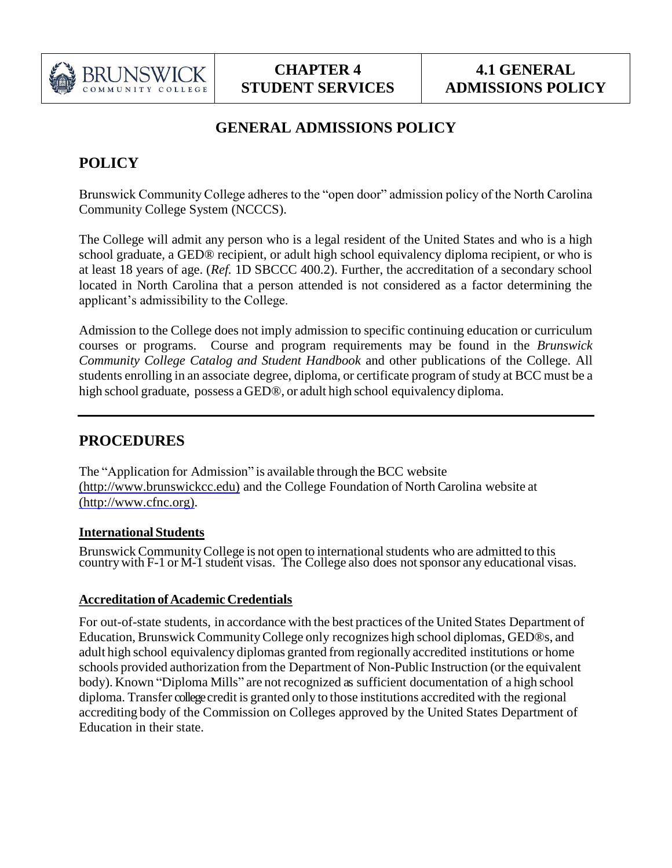

# **GENERAL ADMISSIONS POLICY**

# **POLICY**

Brunswick Community College adheres to the "open door" admission policy of the North Carolina Community College System (NCCCS).

The College will admit any person who is a legal resident of the United States and who is a high school graduate, a GED® recipient, or adult high school equivalency diploma recipient, or who is at least 18 years of age. (*Ref.* 1D SBCCC 400.2). Further, the accreditation of a secondary school located in North Carolina that a person attended is not considered as a factor determining the applicant's admissibility to the College.

Admission to the College does not imply admission to specific continuing education or curriculum courses or programs. Course and program requirements may be found in the *Brunswick Community College Catalog and Student Handbook* and other publications of the College. All students enrolling in an associate degree, diploma, or certificate program of study at BCC must be a high school graduate, possess a GED®, or adult high school equivalency diploma.

# **PROCEDURES**

The "Application for Admission" is available through the BCC website [\(http://www.brunswickcc.edu\)](http://www.brunswickcc.edu/) and the College Foundation of North Carolina website at [\(http://www.cfnc.org\).](http://www.cfnc.org/)

# **International Students**

Brunswick Community College is not open to international students who are admitted to this country with F-1 or M-1 student visas. The College also does not sponsor any educational visas.

# **Accreditation ofAcademic Credentials**

For out-of-state students, in accordance with the best practices of the United States Department of Education, Brunswick CommunityCollege only recognizes high school diplomas, GED®s, and adult high school equivalency diplomas granted from regionally accredited institutions or home schools provided authorization from the Department of Non-Public Instruction (or the equivalent body). Known "Diploma Mills" are not recognized as sufficient documentation of a high school diploma. Transfer college credit is granted only to those institutions accredited with the regional accrediting body of the Commission on Colleges approved by the United States Department of Education in their state.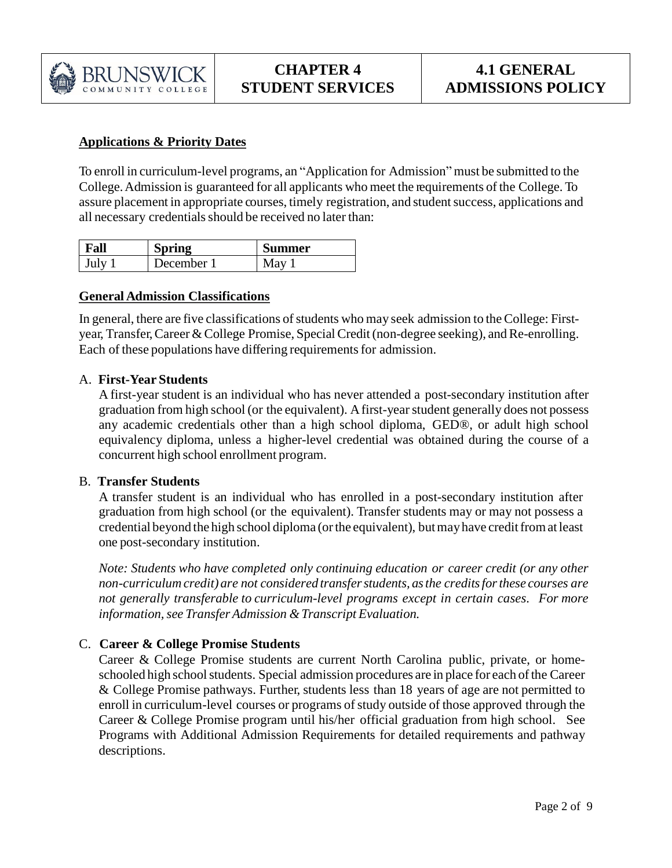

# **Applications & Priority Dates**

To enroll in curriculum-level programs, an "Application for Admission" must be submitted to the College.Admission is guaranteed for all applicants who meet the requirements of the College. To assure placement in appropriate courses, timely registration, and student success, applications and all necessary credentials should be received no later than:

| Fall | pring    | iummer |
|------|----------|--------|
| July | December |        |

## **General Admission Classifications**

In general, there are five classifications of students who may seek admission to the College: Firstyear, Transfer, Career & College Promise, Special Credit (non-degree seeking), and Re-enrolling. Each of these populations have differing requirements for admission.

## A. **First-Year Students**

A first-year student is an individual who has never attended a post-secondary institution after graduation from high school (or the equivalent). Afirst-yearstudent generally does not possess any academic credentials other than a high school diploma, GED®, or adult high school equivalency diploma, unless a higher-level credential was obtained during the course of a concurrent high school enrollment program.

#### B. **Transfer Students**

A transfer student is an individual who has enrolled in a post-secondary institution after graduation from high school (or the equivalent). Transfer students may or may not possess a credential beyond the high school diploma (orthe equivalent), butmayhave creditfromat least one post-secondary institution.

*Note: Students who have completed only continuing education or career credit (or any other non-curriculum credit) are not considered transferstudents, asthe creditsforthese courses are not generally transferable to curriculum-level programs except in certain cases. For more information,see TransferAdmission &Transcript Evaluation.*

## C. **Career & College Promise Students**

Career & College Promise students are current North Carolina public, private, or homeschooled high school students. Special admission procedures are in place for each of the Career & College Promise pathways. Further, students less than 18 years of age are not permitted to enroll in curriculum-level courses or programs of study outside of those approved through the Career & College Promise program until his/her official graduation from high school. See Programs with Additional Admission Requirements for detailed requirements and pathway descriptions.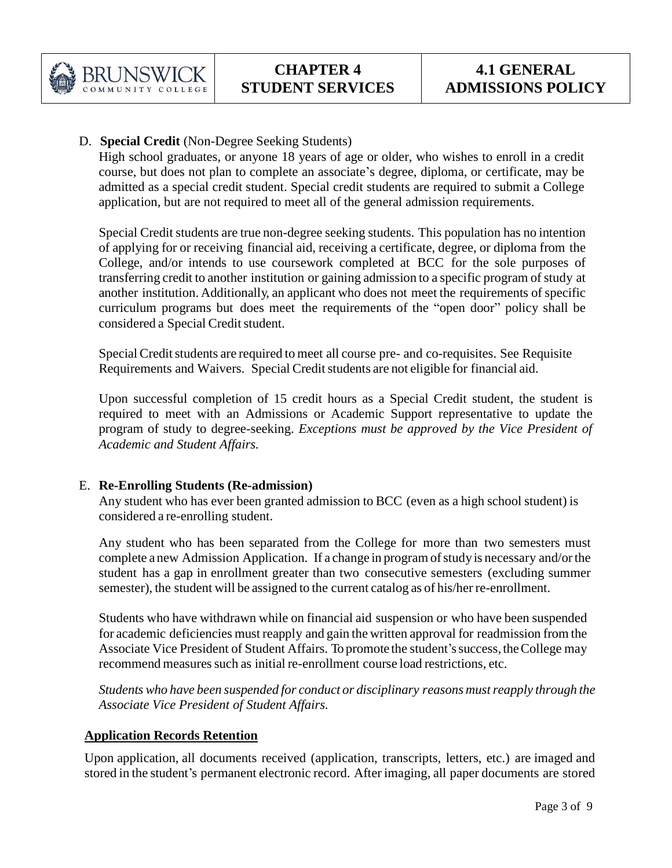

## D. **Special Credit** (Non-Degree Seeking Students)

High school graduates, or anyone 18 years of age or older, who wishes to enroll in a credit course, but does not plan to complete an associate's degree, diploma, or certificate, may be admitted as a special credit student. Special credit students are required to submit a College application, but are not required to meet all of the general admission requirements.

Special Credit students are true non-degree seeking students. This population has no intention of applying for or receiving financial aid, receiving a certificate, degree, or diploma from the College, and/or intends to use coursework completed at BCC for the sole purposes of transferring credit to another institution or gaining admission to a specific program of study at another institution. Additionally, an applicant who does not meet the requirements of specific curriculum programs but does meet the requirements of the "open door" policy shall be considered a Special Credit student.

Special Credit students are required to meet all course pre- and co-requisites. See Requisite Requirements and Waivers. Special Credit students are not eligible for financial aid.

Upon successful completion of 15 credit hours as a Special Credit student, the student is required to meet with an Admissions or Academic Support representative to update the program of study to degree-seeking. *Exceptions must be approved by the Vice President of Academic and Student Affairs.*

## E. **Re-Enrolling Students (Re-admission)**

Any student who has ever been granted admission to BCC (even as a high school student) is considered a re-enrolling student.

Any student who has been separated from the College for more than two semesters must complete a new Admission Application. If a change in programofstudy is necessary and/orthe student has a gap in enrollment greater than two consecutive semesters (excluding summer semester), the student will be assigned to the current catalog as of his/her re-enrollment.

Students who have withdrawn while on financial aid suspension or who have been suspended for academic deficiencies must reapply and gain the written approval for readmission from the Associate Vice President of Student Affairs. To promote the student's success, the College may recommend measures such as initial re-enrollment course load restrictions, etc.

*Students who have been suspended for conduct or disciplinary reasons mustreapply through the Associate Vice President of Student Affairs.* 

## **Application Records Retention**

Upon application, all documents received (application, transcripts, letters, etc.) are imaged and stored in the student's permanent electronic record. After imaging, all paper documents are stored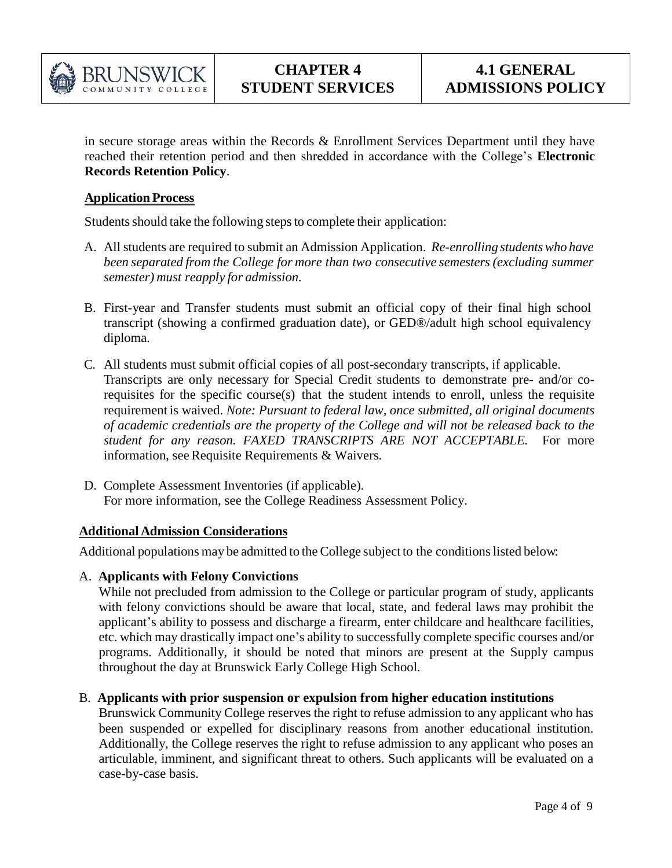

in secure storage areas within the Records & Enrollment Services Department until they have reached their retention period and then shredded in accordance with the College's **Electronic Records Retention Policy**.

#### **Application Process**

Students should take the following steps to complete their application:

- A. All students are required to submit an Admission Application. *Re-enrolling studentswho have been separated from the College for more than two consecutive semesters (excluding summer semester) must reapply for admission.*
- B. First-year and Transfer students must submit an official copy of their final high school transcript (showing a confirmed graduation date), or GED®/adult high school equivalency diploma.
- C. All students must submit official copies of all post-secondary transcripts, if applicable. Transcripts are only necessary for Special Credit students to demonstrate pre- and/or corequisites for the specific course(s) that the student intends to enroll, unless the requisite requirement is waived. *Note: Pursuant to federal law, once submitted, all original documents of academic credentials are the property of the College and will not be released back to the student for any reason. FAXED TRANSCRIPTS ARE NOT ACCEPTABLE.* For more information, see Requisite Requirements  $&$  Waivers.
- D. Complete Assessment Inventories (if applicable). For more information, see the College Readiness Assessment Policy.

#### **Additional Admission Considerations**

Additional populations may be admitted to the College subject to the conditions listed below:

#### A. **Applicants with Felony Convictions**

While not precluded from admission to the College or particular program of study, applicants with felony convictions should be aware that local, state, and federal laws may prohibit the applicant's ability to possess and discharge a firearm, enter childcare and healthcare facilities, etc. which may drastically impact one's ability to successfully complete specific courses and/or programs. Additionally, it should be noted that minors are present at the Supply campus throughout the day at Brunswick Early College High School.

#### B. **Applicants with prior suspension or expulsion from higher education institutions**

Brunswick Community College reserves the right to refuse admission to any applicant who has been suspended or expelled for disciplinary reasons from another educational institution. Additionally, the College reserves the right to refuse admission to any applicant who poses an articulable, imminent, and significant threat to others. Such applicants will be evaluated on a case-by-case basis.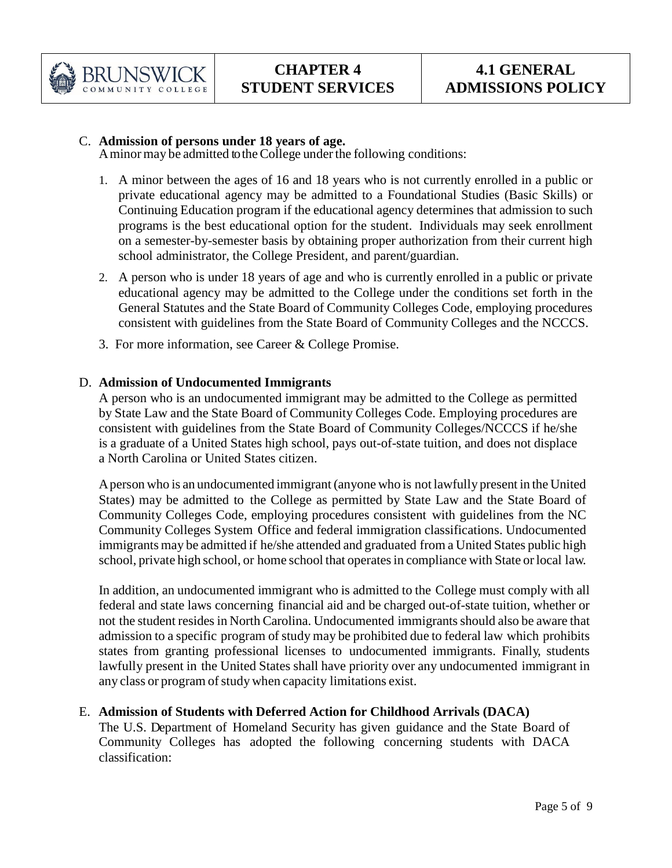

## C. **Admission of persons under 18 years of age.**

Aminormay be admitted totheCollege underthe following conditions:

- 1. A minor between the ages of 16 and 18 years who is not currently enrolled in a public or private educational agency may be admitted to a Foundational Studies (Basic Skills) or Continuing Education program if the educational agency determines that admission to such programs is the best educational option for the student. Individuals may seek enrollment on a semester-by-semester basis by obtaining proper authorization from their current high school administrator, the College President, and parent/guardian.
- 2. A person who is under 18 years of age and who is currently enrolled in a public or private educational agency may be admitted to the College under the conditions set forth in the General Statutes and the State Board of Community Colleges Code, employing procedures consistent with guidelines from the State Board of Community Colleges and the NCCCS.
- 3. For more information, see Career & College Promise.

## D. **Admission of Undocumented Immigrants**

A person who is an undocumented immigrant may be admitted to the College as permitted by State Law and the State Board of Community Colleges Code. Employing procedures are consistent with guidelines from the State Board of Community Colleges/NCCCS if he/she is a graduate of a United States high school, pays out-of-state tuition, and does not displace a North Carolina or United States citizen.

Aperson who is an undocumented immigrant (anyone who is not lawfully present in the United States) may be admitted to the College as permitted by State Law and the State Board of Community Colleges Code, employing procedures consistent with guidelines from the NC Community Colleges System Office and federal immigration classifications. Undocumented immigrants may be admitted if he/she attended and graduated from a United States public high school, private high school, or home school that operates in compliance with State or local law.

In addition, an undocumented immigrant who is admitted to the College must comply with all federal and state laws concerning financial aid and be charged out-of-state tuition, whether or not the student resides in North Carolina. Undocumented immigrants should also be aware that admission to a specific program of study may be prohibited due to federal law which prohibits states from granting professional licenses to undocumented immigrants. Finally, students lawfully present in the United States shall have priority over any undocumented immigrant in any class or program of study when capacity limitations exist.

# E. **Admission of Students with Deferred Action for Childhood Arrivals (DACA)**

The U.S. Department of Homeland Security has given guidance and the State Board of Community Colleges has adopted the following concerning students with DACA classification: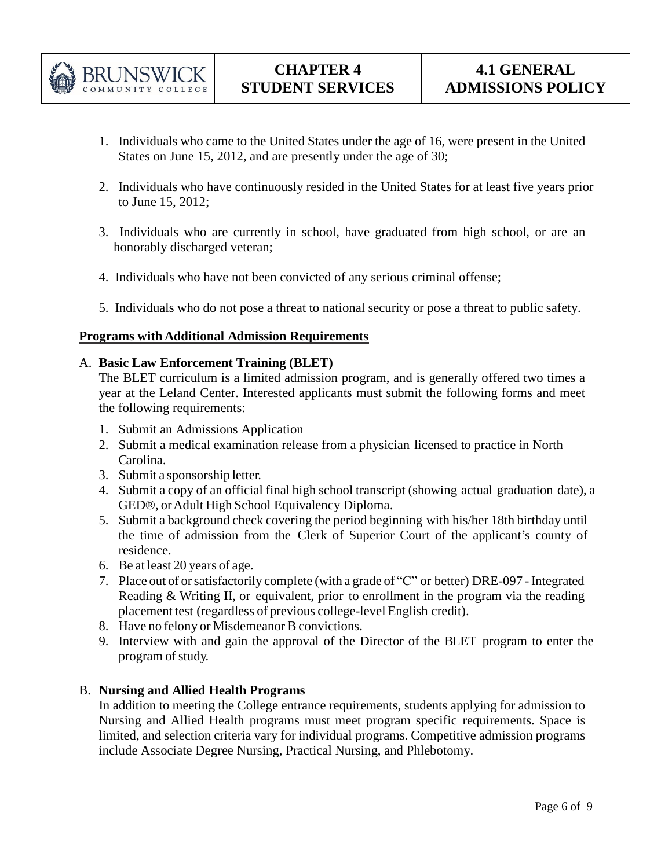

- 1. Individuals who came to the United States under the age of 16, were present in the United States on June 15, 2012, and are presently under the age of 30;
- 2. Individuals who have continuously resided in the United States for at least five years prior to June 15, 2012;
- 3. Individuals who are currently in school, have graduated from high school, or are an honorably discharged veteran;
- 4. Individuals who have not been convicted of any serious criminal offense;
- 5. Individuals who do not pose a threat to national security or pose a threat to public safety.

## **Programs with Additional Admission Requirements**

## A. **Basic Law Enforcement Training (BLET)**

The BLET curriculum is a limited admission program, and is generally offered two times a year at the Leland Center. Interested applicants must submit the following forms and meet the following requirements:

- 1. Submit an Admissions Application
- 2. Submit a medical examination release from a physician licensed to practice in North Carolina.
- 3. Submit a sponsorship letter.
- 4. Submit a copy of an official final high school transcript (showing actual graduation date), a GED®, orAdult High School Equivalency Diploma.
- 5. Submit a background check covering the period beginning with his/her 18th birthday until the time of admission from the Clerk of Superior Court of the applicant's county of residence.
- 6. Be at least 20 years of age.
- 7. Place out of or satisfactorily complete (with a grade of "C" or better) DRE-097 Integrated Reading & Writing II, or equivalent, prior to enrollment in the program via the reading placement test (regardless of previous college-level English credit).
- 8. Have no felony or Misdemeanor B convictions.
- 9. Interview with and gain the approval of the Director of the BLET program to enter the program of study.

## B. **Nursing and Allied Health Programs**

In addition to meeting the College entrance requirements, students applying for admission to Nursing and Allied Health programs must meet program specific requirements. Space is limited, and selection criteria vary for individual programs. Competitive admission programs include Associate Degree Nursing, Practical Nursing, and Phlebotomy.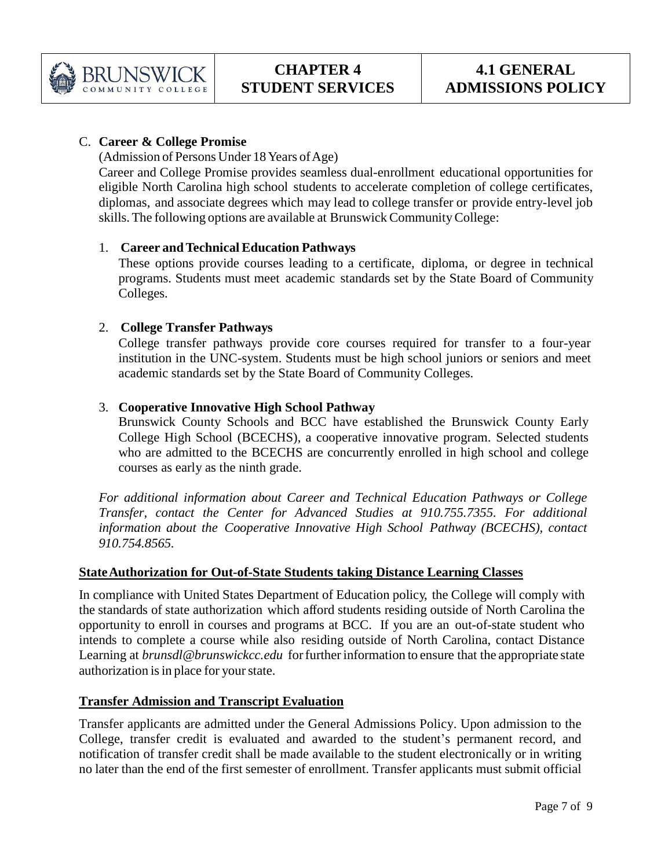

# C. **Career & College Promise**

(Admission of Persons Under 18 Years of Age)

Career and College Promise provides seamless dual-enrollment educational opportunities for eligible North Carolina high school students to accelerate completion of college certificates, diplomas, and associate degrees which may lead to college transfer or provide entry-level job skills.The following options are available at Brunswick CommunityCollege:

# 1. **Career andTechnical Education Pathways**

These options provide courses leading to a certificate, diploma, or degree in technical programs. Students must meet academic standards set by the State Board of Community Colleges.

# 2. **College Transfer Pathways**

College transfer pathways provide core courses required for transfer to a four-year institution in the UNC-system. Students must be high school juniors or seniors and meet academic standards set by the State Board of Community Colleges.

# 3. **Cooperative Innovative High School Pathway**

Brunswick County Schools and BCC have established the Brunswick County Early College High School (BCECHS), a cooperative innovative program. Selected students who are admitted to the BCECHS are concurrently enrolled in high school and college courses as early as the ninth grade.

*For additional information about Career and Technical Education Pathways or College Transfer, contact the Center for Advanced Studies at 910.755.7355. For additional information about the Cooperative Innovative High School Pathway (BCECHS), contact 910.754.8565.*

# **StateAuthorization for Out-of-State Students taking Distance Learning Classes**

In compliance with United States Department of Education policy, the College will comply with the standards of state authorization which afford students residing outside of North Carolina the opportunity to enroll in courses and programs at BCC. If you are an out-of-state student who intends to complete a course while also residing outside of North Carolina, contact Distance Learning at *[brunsdl@brunswickcc.edu](mailto:brunsdl@brunswickcc.edu)* for further information to ensure that the appropriate state authorization is in place for your state.

# **Transfer Admission and Transcript Evaluation**

Transfer applicants are admitted under the General Admissions Policy. Upon admission to the College, transfer credit is evaluated and awarded to the student's permanent record, and notification of transfer credit shall be made available to the student electronically or in writing no later than the end of the first semester of enrollment. Transfer applicants must submit official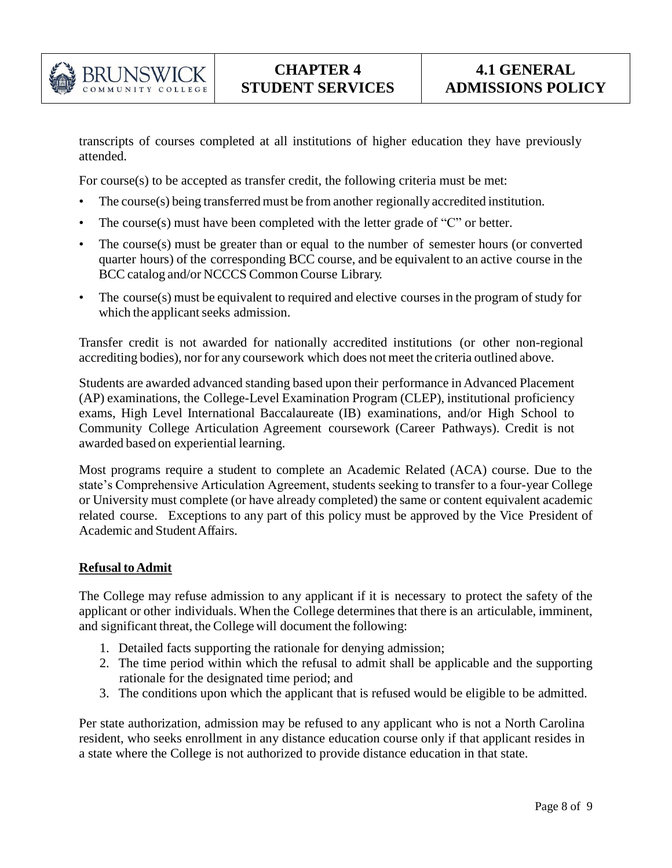

transcripts of courses completed at all institutions of higher education they have previously attended.

For course(s) to be accepted as transfer credit, the following criteria must be met:

- The course(s) being transferred must be from another regionally accredited institution.
- The course(s) must have been completed with the letter grade of " $C$ " or better.
- The course(s) must be greater than or equal to the number of semester hours (or converted quarter hours) of the corresponding BCC course, and be equivalent to an active course in the BCC catalog and/or NCCCS Common Course Library.
- The course(s) must be equivalent to required and elective courses in the program of study for which the applicant seeks admission.

Transfer credit is not awarded for nationally accredited institutions (or other non-regional accrediting bodies), nor for any coursework which does not meet the criteria outlined above.

Students are awarded advanced standing based upon their performance in Advanced Placement (AP) examinations, the College-Level Examination Program (CLEP), institutional proficiency exams, High Level International Baccalaureate (IB) examinations, and/or High School to Community College Articulation Agreement coursework (Career Pathways). Credit is not awarded based on experiential learning.

Most programs require a student to complete an Academic Related (ACA) course. Due to the state's Comprehensive Articulation Agreement, students seeking to transfer to a four-year College or University must complete (or have already completed) the same or content equivalent academic related course. Exceptions to any part of this policy must be approved by the Vice President of Academic and StudentAffairs.

## **Refusal to Admit**

The College may refuse admission to any applicant if it is necessary to protect the safety of the applicant or other individuals. When the College determines that there is an articulable, imminent, and significant threat, the College will document the following:

- 1. Detailed facts supporting the rationale for denying admission;
- 2. The time period within which the refusal to admit shall be applicable and the supporting rationale for the designated time period; and
- 3. The conditions upon which the applicant that is refused would be eligible to be admitted.

Per state authorization, admission may be refused to any applicant who is not a North Carolina resident, who seeks enrollment in any distance education course only if that applicant resides in a state where the College is not authorized to provide distance education in that state.